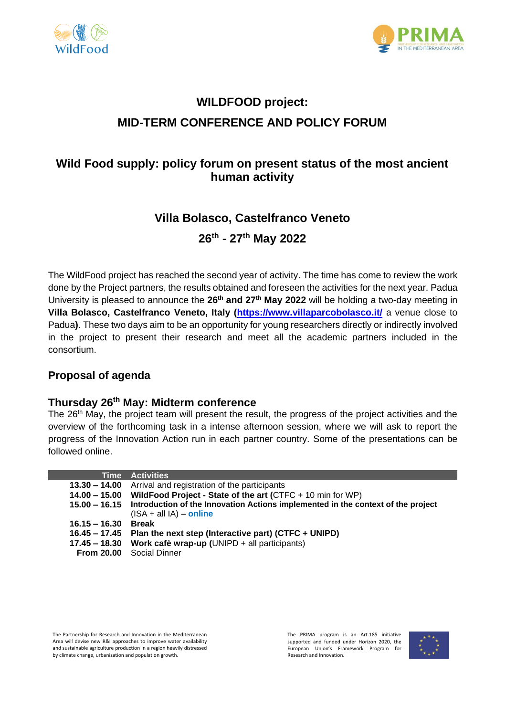



# **WILDFOOD project: MID-TERM CONFERENCE AND POLICY FORUM**

# **Wild Food supply: policy forum on present status of the most ancient human activity**

## **Villa Bolasco, Castelfranco Veneto**

**26th - 27th May 2022**

The WildFood project has reached the second year of activity. The time has come to review the work done by the Project partners, the results obtained and foreseen the activities for the next year. Padua University is pleased to announce the **26th and 27th May 2022** will be holding a two-day meeting in **Villa Bolasco, Castelfranco Veneto, Italy [\(https://www.villaparcobolasco.it/](https://www.villaparcobolasco.it/)** a venue close to Padua**)**. These two days aim to be an opportunity for young researchers directly or indirectly involved in the project to present their research and meet all the academic partners included in the consortium.

#### **Proposal of agenda**

#### **Thursday 26th May: Midterm conference**

The 26<sup>th</sup> May, the project team will present the result, the progress of the project activities and the overview of the forthcoming task in a intense afternoon session, where we will ask to report the progress of the Innovation Action run in each partner country. Some of the presentations can be followed online.

|                       | <b>Time Activities</b>                                                                                                      |
|-----------------------|-----------------------------------------------------------------------------------------------------------------------------|
|                       | 13.30 - 14.00 Arrival and registration of the participants                                                                  |
|                       | 14.00 - 15.00 WildFood Project - State of the art (CTFC + 10 min for WP)                                                    |
|                       | 15.00 - 16.15 Introduction of the Innovation Actions implemented in the context of the project<br>$(ISA + all IA) - online$ |
| $16.15 - 16.30$ Break |                                                                                                                             |
|                       | 16.45 – 17.45 Plan the next step (Interactive part) (CTFC + UNIPD)                                                          |
|                       | 17.45 - 18.30 Work cafè wrap-up (UNIPD + all participants)                                                                  |
|                       | From 20.00 Social Dinner                                                                                                    |

The Partnership for Research and Innovation in the Mediterranean Area will devise new R&I approaches to improve water availability and sustainable agriculture production in a region heavily distressed by climate change, urbanization and population growth.